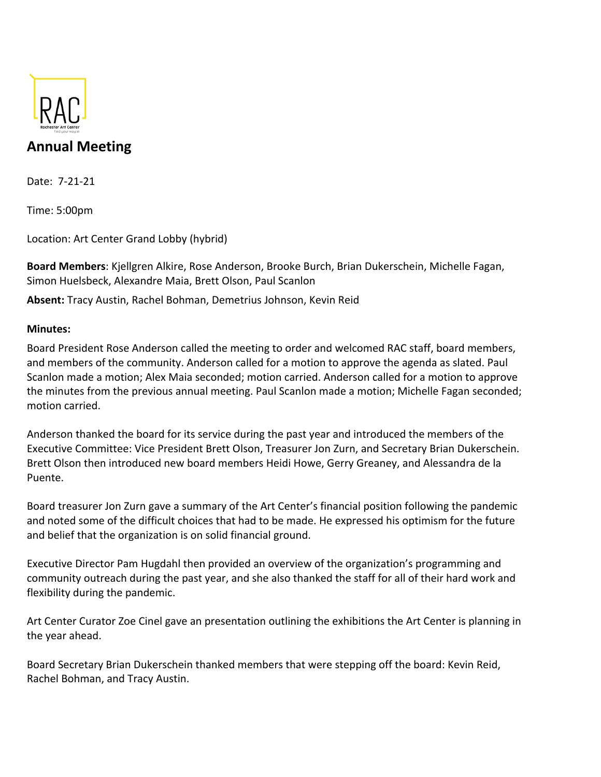

## **Annual Meeting**

Date: 7-21-21

Time: 5:00pm

Location: Art Center Grand Lobby (hybrid)

**Board Members**: Kjellgren Alkire, Rose Anderson, Brooke Burch, Brian Dukerschein, Michelle Fagan, Simon Huelsbeck, Alexandre Maia, Brett Olson, Paul Scanlon

**Absent:** Tracy Austin, Rachel Bohman, Demetrius Johnson, Kevin Reid

## **Minutes:**

Board President Rose Anderson called the meeting to order and welcomed RAC staff, board members, and members of the community. Anderson called for a motion to approve the agenda as slated. Paul Scanlon made a motion; Alex Maia seconded; motion carried. Anderson called for a motion to approve the minutes from the previous annual meeting. Paul Scanlon made a motion; Michelle Fagan seconded; motion carried.

Anderson thanked the board for its service during the past year and introduced the members of the Executive Committee: Vice President Brett Olson, Treasurer Jon Zurn, and Secretary Brian Dukerschein. Brett Olson then introduced new board members Heidi Howe, Gerry Greaney, and Alessandra de la Puente.

Board treasurer Jon Zurn gave a summary of the Art Center's financial position following the pandemic and noted some of the difficult choices that had to be made. He expressed his optimism for the future and belief that the organization is on solid financial ground.

Executive Director Pam Hugdahl then provided an overview of the organization's programming and community outreach during the past year, and she also thanked the staff for all of their hard work and flexibility during the pandemic.

Art Center Curator Zoe Cinel gave an presentation outlining the exhibitions the Art Center is planning in the year ahead.

Board Secretary Brian Dukerschein thanked members that were stepping off the board: Kevin Reid, Rachel Bohman, and Tracy Austin.